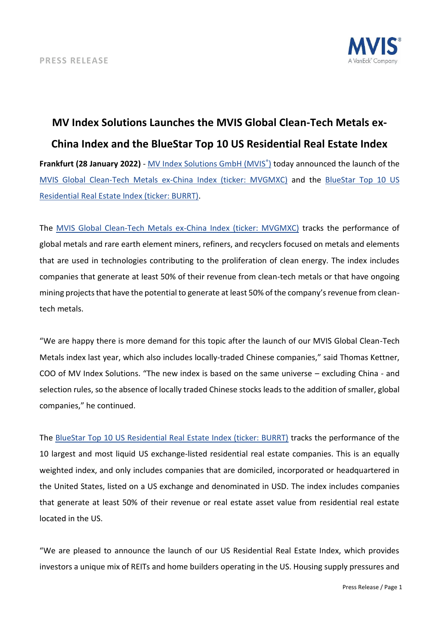

## **MV Index Solutions Launches the MVIS Global Clean-Tech Metals ex-China Index and the BlueStar Top 10 US Residential Real Estate Index Frankfurt (28 January 2022)** - [MV Index Solutions GmbH \(MVIS](https://www.mvis-indices.com/)[®](https://www.mvis-indices.com/) [\)](https://www.mvis-indices.com/) today announced the launch of the [MVIS Global Clean-Tech Metals ex-China Index \(ticker: MVGMXC\)](https://mvis-indices.com/indices/hard-asset/MVIS-Global-Clean-Tech-Metals-ex-China?utm_source=mvis&utm_medium=pressrelease&utm_campaign=announcement) and the BlueStar Top 10 US [Residential Real Estate Index \(ticker: BURRT\).](https://mvis-indices.com/indices/sector/BlueStar-Top-10-US-Residential-Real-Estate?utm_source=mvis&utm_medium=pressrelease&utm_campaign=announcement)

The [MVIS Global Clean-Tech Metals ex-China Index \(ticker: MVGMXC\)](https://mvis-indices.com/indices/hard-asset/MVIS-Global-Clean-Tech-Metals-ex-China?utm_source=mvis&utm_medium=pressrelease&utm_campaign=announcement) tracks the performance of global metals and rare earth element miners, refiners, and recyclers focused on metals and elements that are used in technologies contributing to the proliferation of clean energy. The index includes companies that generate at least 50% of their revenue from clean-tech metals or that have ongoing mining projects that have the potential to generate at least 50% of the company's revenue from cleantech metals.

"We are happy there is more demand for this topic after the launch of our MVIS Global Clean-Tech Metals index last year, which also includes locally-traded Chinese companies," said Thomas Kettner, COO of MV Index Solutions. "The new index is based on the same universe – excluding China - and selection rules, so the absence of locally traded Chinese stocks leads to the addition of smaller, global companies," he continued.

The [BlueStar Top 10 US Residential Real Estate Index \(ticker: BURRT\)](https://mvis-indices.com/indices/sector/BlueStar-Top-10-US-Residential-Real-Estate?utm_source=mvis&utm_medium=pressrelease&utm_campaign=announcement) tracks the performance of the 10 largest and most liquid US exchange-listed residential real estate companies. This is an equally weighted index, and only includes companies that are domiciled, incorporated or headquartered in the United States, listed on a US exchange and denominated in USD. The index includes companies that generate at least 50% of their revenue or real estate asset value from residential real estate located in the US.

"We are pleased to announce the launch of our US Residential Real Estate Index, which provides investors a unique mix of REITs and home builders operating in the US. Housing supply pressures and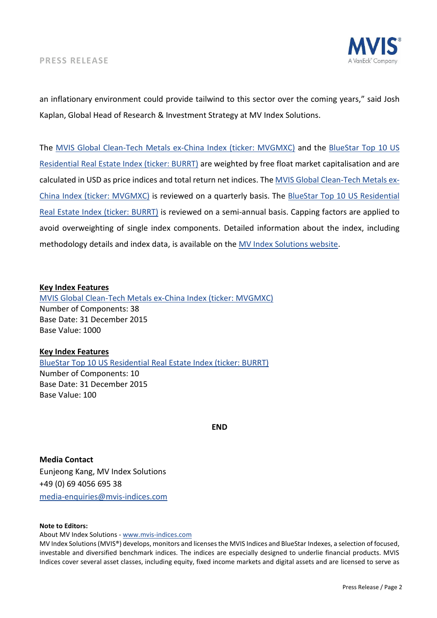

an inflationary environment could provide tailwind to this sector over the coming years," said Josh Kaplan, Global Head of Research & Investment Strategy at MV Index Solutions.

The [MVIS Global Clean-Tech Metals ex-China Index \(ticker: MVGMXC\)](https://mvis-indices.com/indices/hard-asset/MVIS-Global-Clean-Tech-Metals-ex-China?utm_source=mvis&utm_medium=pressrelease&utm_campaign=announcement) and the [BlueStar Top 10 US](https://mvis-indices.com/indices/sector/BlueStar-Top-10-US-Residential-Real-Estate?utm_source=mvis&utm_medium=pressrelease&utm_campaign=announcement)  [Residential Real Estate Index \(ticker: BURRT\)](https://mvis-indices.com/indices/sector/BlueStar-Top-10-US-Residential-Real-Estate?utm_source=mvis&utm_medium=pressrelease&utm_campaign=announcement) are weighted by free float market capitalisation and are calculated in USD as price indices and total return net indices. Th[e MVIS Global Clean-Tech Metals ex-](https://mvis-indices.com/indices/hard-asset/MVIS-Global-Clean-Tech-Metals-ex-China?utm_source=mvis&utm_medium=pressrelease&utm_campaign=announcement)[China Index \(ticker: MVGMXC\)](https://mvis-indices.com/indices/hard-asset/MVIS-Global-Clean-Tech-Metals-ex-China?utm_source=mvis&utm_medium=pressrelease&utm_campaign=announcement) is reviewed on a quarterly basis. The [BlueStar Top 10 US Residential](https://mvis-indices.com/indices/sector/BlueStar-Top-10-US-Residential-Real-Estate?utm_source=mvis&utm_medium=pressrelease&utm_campaign=announcement)  [Real Estate Index \(ticker: BURRT\)](https://mvis-indices.com/indices/sector/BlueStar-Top-10-US-Residential-Real-Estate?utm_source=mvis&utm_medium=pressrelease&utm_campaign=announcement) is reviewed on a semi-annual basis. Capping factors are applied to avoid overweighting of single index components. Detailed information about the index, including methodology details and index data, is available on the [MV Index Solutions website.](https://www.mvis-indices.com/?utm_source=mvis&utm_medium=pressrelease&utm_campaign=announcement)

## **Key Index Features**

[MVIS Global Clean-Tech Metals ex-China Index \(ticker: MVGMXC\)](https://mvis-indices.com/indices/hard-asset/MVIS-Global-Clean-Tech-Metals-ex-China?utm_source=mvis&utm_medium=pressrelease&utm_campaign=announcement) Number of Components: 38 Base Date: 31 December 2015 Base Value: 1000

## **Key Index Features**

BlueStar Top 10 US Residential [Real Estate Index \(ticker: BURRT\)](https://mvis-indices.com/indices/sector/BlueStar-Top-10-US-Residential-Real-Estate?utm_source=mvis&utm_medium=pressrelease&utm_campaign=announcement) Number of Components: 10 Base Date: 31 December 2015 Base Value: 100

**END**

**Media Contact** Eunjeong Kang, MV Index Solutions +49 (0) 69 4056 695 38 [media-enquiries@mvis-indices.com](mailto:media-enquiries@mvis-indices.com)

## **Note to Editors:**

About MV Index Solutions - [www.mvis-indices.com](http://www.mvis-indices.com/)

MV Index Solutions (MVIS®) develops, monitors and licenses the MVIS Indices and BlueStar Indexes, a selection of focused, investable and diversified benchmark indices. The indices are especially designed to underlie financial products. MVIS Indices cover several asset classes, including equity, fixed income markets and digital assets and are licensed to serve as